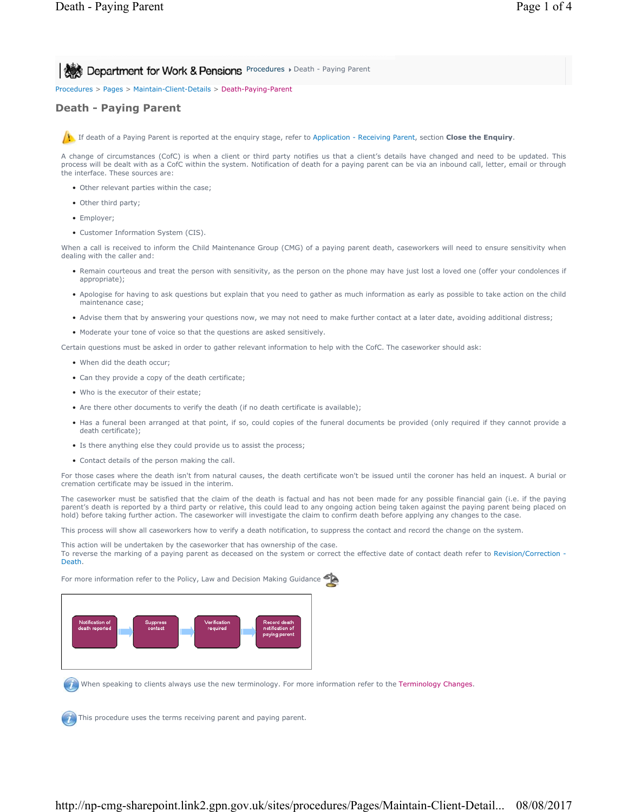**Procedures > Department for Work & Pensions** Procedures > Death - Paying Parent

Procedures > Pages > Maintain-Client-Details > Death-Paying-Parent

## **Death - Paying Parent**

If death of a Paying Parent is reported at the enquiry stage, refer to Application - Receiving Parent, section **Close the Enquiry**.

A change of circumstances (CofC) is when a client or third party notifies us that a client's details have changed and need to be updated. This process will be dealt with as a CofC within the system. Notification of death for a paying parent can be via an inbound call, letter, email or through the interface. These sources are:

- Other relevant parties within the case;
- Other third party;
- Employer;
- Customer Information System (CIS).

When a call is received to inform the Child Maintenance Group (CMG) of a paying parent death, caseworkers will need to ensure sensitivity when dealing with the caller and:

- Remain courteous and treat the person with sensitivity, as the person on the phone may have just lost a loved one (offer your condolences if appropriate);
- Apologise for having to ask questions but explain that you need to gather as much information as early as possible to take action on the child maintenance case;
- Advise them that by answering your questions now, we may not need to make further contact at a later date, avoiding additional distress;
- Moderate your tone of voice so that the questions are asked sensitively.

Certain questions must be asked in order to gather relevant information to help with the CofC. The caseworker should ask:

- When did the death occur;
- Can they provide a copy of the death certificate;
- Who is the executor of their estate;
- Are there other documents to verify the death (if no death certificate is available);
- Has a funeral been arranged at that point, if so, could copies of the funeral documents be provided (only required if they cannot provide a death certificate);
- Is there anything else they could provide us to assist the process;
- Contact details of the person making the call.

For those cases where the death isn't from natural causes, the death certificate won't be issued until the coroner has held an inquest. A burial or cremation certificate may be issued in the interim.

The caseworker must be satisfied that the claim of the death is factual and has not been made for any possible financial gain (i.e. if the paying parent's death is reported by a third party or relative, this could lead to any ongoing action being taken against the paying parent being placed on hold) before taking further action. The caseworker will investigate the claim to confirm death before applying any changes to the case.

This process will show all caseworkers how to verify a death notification, to suppress the contact and record the change on the system.

This action will be undertaken by the caseworker that has ownership of the case. To reverse the marking of a paying parent as deceased on the system or correct the effective date of contact death refer to Revision/Correction - Death.

For more information refer to the Policy, Law and Decision Making Guidance



When speaking to clients always use the new terminology. For more information refer to the Terminology Changes.

This procedure uses the terms receiving parent and paying parent.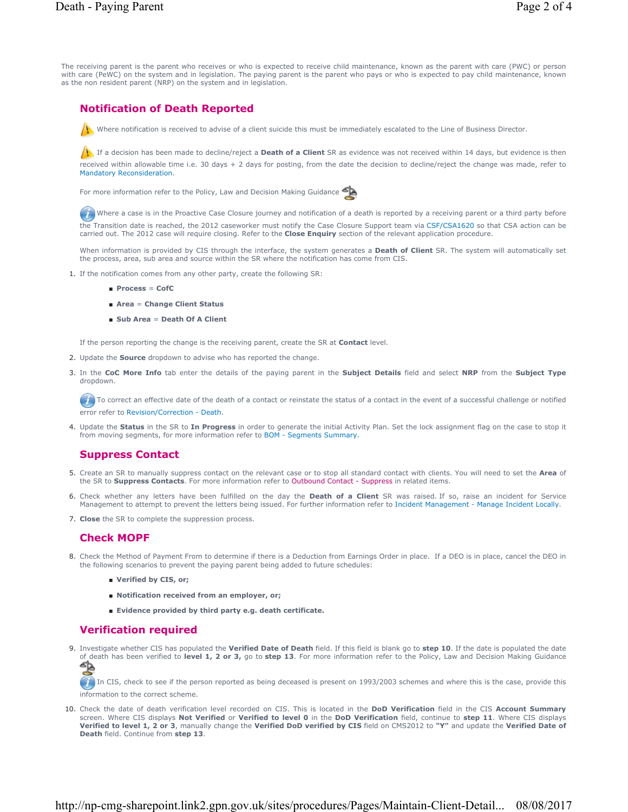The receiving parent is the parent who receives or who is expected to receive child maintenance, known as the parent with care (PWC) or person with care (PeWC) on the system and in legislation. The paying parent is the parent who pays or who is expected to pay child maintenance, known as the non resident parent (NRP) on the system and in legislation.

# **Notification of Death Reported**

Where notification is received to advise of a client suicide this must be immediately escalated to the Line of Business Director.

**If** If a decision has been made to decline/reject a **Death of a Client** SR as evidence was not received within 14 days, but evidence is then received within allowable time i.e. 30 days + 2 days for posting, from the date the decision to decline/reject the change was made, refer to Mandatory Reconsideration.

For more information refer to the Policy, Law and Decision Making Guidance



Where a case is in the Proactive Case Closure journey and notification of a death is reported by a receiving parent or a third party before the Transition date is reached, the 2012 caseworker must notify the Case Closure Support team via CSF/CSA1620 so that CSA action can be carried out. The 2012 case will require closing. Refer to the **Close Enquiry** section of the relevant application procedure.

When information is provided by CIS through the interface, the system generates a **Death of Client** SR. The system will automatically set the process, area, sub area and source within the SR where the notification has come from CIS.

- 1. If the notification comes from any other party, create the following SR:
	- **Process** = **CofC**
	- **Area** = **Change Client Status**
	- **Sub Area** = **Death Of A Client**

If the person reporting the change is the receiving parent, create the SR at **Contact** level.

- 2. Update the **Source** dropdown to advise who has reported the change.
- In the **CoC More Info** tab enter the details of the paying parent in the **Subject Details** field and select **NRP** from the **Subject Type** 3. dropdown.

To correct an effective date of the death of a contact or reinstate the status of a contact in the event of a successful challenge or notified error refer to Revision/Correction - Death.

4. Update the **Status** in the SR to In Progress in order to generate the initial Activity Plan. Set the lock assignment flag on the case to stop it from moving segments, for more information refer to BOM - Segments Summary.

## **Suppress Contact**

- 5. Create an SR to manually suppress contact on the relevant case or to stop all standard contact with clients. You will need to set the Area of the SR to **Suppress Contacts**. For more information refer to Outbound Contact - Suppress in related items.
- 6. Check whether any letters have been fulfilled on the day the **Death of a Client** SR was raised. If so, raise an incident for Service Management to attempt to prevent the letters being issued. For further information refer to Incident Management - Manage Incident Locally.
- 7. **Close** the SR to complete the suppression process.

## **Check MOPF**

- Check the Method of Payment From to determine if there is a Deduction from Earnings Order in place. If a DEO is in place, cancel the DEO in 8. the following scenarios to prevent the paying parent being added to future schedules:
	- **Verified by CIS, or;**
	- **Notification received from an employer, or**;
	- **Evidence provided by third party e.g. death certificate.**

## **Verification required**

Investigate whether CIS has populated the **Verified Date of Death** field. If this field is blank go to **step 10**. If the date is populated the date 9. of death has been verified to **level 1, 2 or 3,** go to **step 13**. For more information refer to the Policy, Law and Decision Making Guidance

In CIS, check to see if the person reported as being deceased is present on 1993/2003 schemes and where this is the case, provide this information to the correct scheme.

10. Check the date of death verification level recorded on CIS. This is located in the DoD Ver**ification** field in the CIS Account Summary screen. Where CIS displays **Not Verified** or **Verified to level 0** in the **DoD Verification** field, continue to **step 11**. Where CIS displays **Verified to level 1, 2 or 3**, manually change the **Verified DoD verified by CIS** field on CMS2012 to **"Y"** and update the **Verified Date of Death** field. Continue from **step 13**.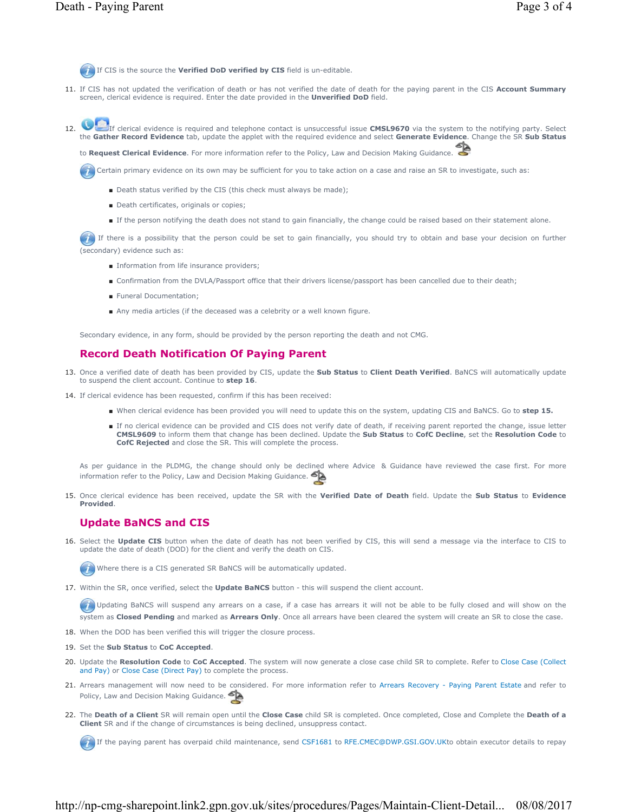If CIS is the source the **Verified DoD verified by CIS** field is un-editable.

11. If CIS has not updated the verification of death or has not verified the date of death for the paying parent in the CIS Account Summary screen, clerical evidence is required. Enter the date provided in the **Unverified DoD** field.

If clerical evidence is required and telephone contact is unsuccessful issue **CMSL9670** via the system to the notifying party. Select the **Gather Record Evidence** tab, update the applet with the required evidence and select **Generate Evidence**. Change the SR **Sub Status** 12.

to **Request Clerical Evidence**. For more information refer to the Policy, Law and Decision Making Guidance.

Certain primary evidence on its own may be sufficient for you to take action on a case and raise an SR to investigate, such as:

- Death status verified by the CIS (this check must always be made);
- Death certificates, originals or copies;
- If the person notifying the death does not stand to gain financially, the change could be raised based on their statement alone.

If there is a possibility that the person could be set to gain financially, you should try to obtain and base your decision on further (secondary) evidence such as:

- Information from life insurance providers;
- Confirmation from the DVLA/Passport office that their drivers license/passport has been cancelled due to their death;
- Funeral Documentation:
- Any media articles (if the deceased was a celebrity or a well known figure.

Secondary evidence, in any form, should be provided by the person reporting the death and not CMG.

### **Record Death Notification Of Paying Parent**

- 13. Once a verified date of death has been provided by CIS, update the **Sub Status** to **Client Death Verified**. BaNCS will automatically update to suspend the client account. Continue to **step 16**.
- 14. If clerical evidence has been requested, confirm if this has been received:
	- When clerical evidence has been provided you will need to update this on the system, updating CIS and BaNCS. Go to **step 15.**
	- If no clerical evidence can be provided and CIS does not verify date of death, if receiving parent reported the change, issue letter **CMSL9609** to inform them that change has been declined. Update the **Sub Status** to **CofC Decline**, set the **Resolution Code** to **CofC Rejected** and close the SR. This will complete the process.

As per guidance in the PLDMG, the change should only be declined where Advice & Guidance have reviewed the case first. For more information refer to the Policy, Law and Decision Making Guidance.

15. Once clerical evidence has been received, update the SR with the **Verified Date of Death** field. Update the Sub Status to Evidence **Provided**.

## **Update BaNCS and CIS**

16. Select the Update CIS button when the date of death has not been verified by CIS, this will send a message via the interface to CIS to update the date of death (DOD) for the client and verify the death on CIS.

Where there is a CIS generated SR BaNCS will be automatically updated.

17. Within the SR, once verified, select the **Update BaNCS** button - this will suspend the client account.

 Updating BaNCS will suspend any arrears on a case, if a case has arrears it will not be able to be fully closed and will show on the system as **Closed Pending** and marked as **Arrears Only**. Once all arrears have been cleared the system will create an SR to close the case.

18. When the DOD has been verified this will trigger the closure process.

- 19. Set the **Sub Status** to **CoC Accepted**.
- 20. Update the Resolution Code to CoC Accepted. The system will now generate a close case child SR to complete. Refer to Close Case (Collect and Pay) or Close Case (Direct Pay) to complete the process.
- 21. Arrears management will now need to be considered. For more information refer to Arrears Recovery Paying Parent Estate and refer to Policy, Law and Decision Making Guidance.
- 22. The Death of a Client SR will remain open until the Close Case child SR is completed. Once completed, Close and Complete the Death of a **Client** SR and if the change of circumstances is being declined, unsuppress contact.

If the paying parent has overpaid child maintenance, send CSF1681 to RFE.CMEC@DWP.GSI.GOV.UKto obtain executor details to repay